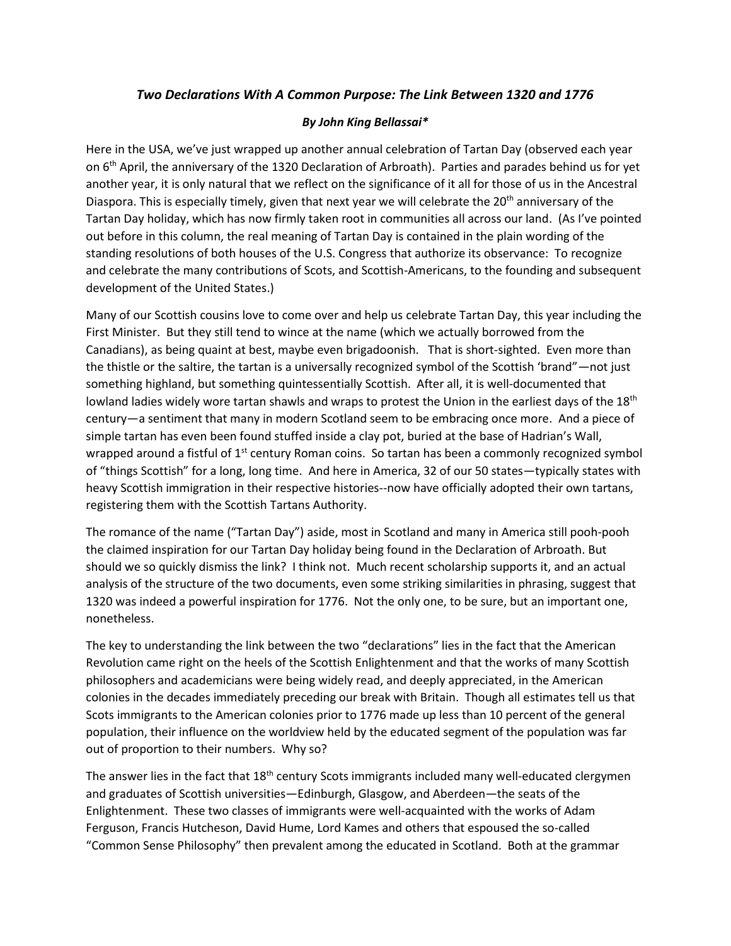## *Two Declarations With A Common Purpose: The Link Between 1320 and 1776*

## *By John King Bellassai\**

Here in the USA, we've just wrapped up another annual celebration of Tartan Day (observed each year on 6<sup>th</sup> April, the anniversary of the 1320 Declaration of Arbroath). Parties and parades behind us for yet another year, it is only natural that we reflect on the significance of it all for those of us in the Ancestral Diaspora. This is especially timely, given that next year we will celebrate the 20<sup>th</sup> anniversary of the Tartan Day holiday, which has now firmly taken root in communities all across our land. (As I've pointed out before in this column, the real meaning of Tartan Day is contained in the plain wording of the standing resolutions of both houses of the U.S. Congress that authorize its observance: To recognize and celebrate the many contributions of Scots, and Scottish-Americans, to the founding and subsequent development of the United States.)

Many of our Scottish cousins love to come over and help us celebrate Tartan Day, this year including the First Minister. But they still tend to wince at the name (which we actually borrowed from the Canadians), as being quaint at best, maybe even brigadoonish. That is short-sighted. Even more than the thistle or the saltire, the tartan is a universally recognized symbol of the Scottish 'brand"—not just something highland, but something quintessentially Scottish. After all, it is well-documented that lowland ladies widely wore tartan shawls and wraps to protest the Union in the earliest days of the 18<sup>th</sup> century—a sentiment that many in modern Scotland seem to be embracing once more. And a piece of simple tartan has even been found stuffed inside a clay pot, buried at the base of Hadrian's Wall, wrapped around a fistful of  $1<sup>st</sup>$  century Roman coins. So tartan has been a commonly recognized symbol of "things Scottish" for a long, long time. And here in America, 32 of our 50 states—typically states with heavy Scottish immigration in their respective histories--now have officially adopted their own tartans, registering them with the Scottish Tartans Authority.

The romance of the name ("Tartan Day") aside, most in Scotland and many in America still pooh-pooh the claimed inspiration for our Tartan Day holiday being found in the Declaration of Arbroath. But should we so quickly dismiss the link? I think not. Much recent scholarship supports it, and an actual analysis of the structure of the two documents, even some striking similarities in phrasing, suggest that 1320 was indeed a powerful inspiration for 1776. Not the only one, to be sure, but an important one, nonetheless.

The key to understanding the link between the two "declarations" lies in the fact that the American Revolution came right on the heels of the Scottish Enlightenment and that the works of many Scottish philosophers and academicians were being widely read, and deeply appreciated, in the American colonies in the decades immediately preceding our break with Britain. Though all estimates tell us that Scots immigrants to the American colonies prior to 1776 made up less than 10 percent of the general population, their influence on the worldview held by the educated segment of the population was far out of proportion to their numbers. Why so?

The answer lies in the fact that  $18<sup>th</sup>$  century Scots immigrants included many well-educated clergymen and graduates of Scottish universities—Edinburgh, Glasgow, and Aberdeen—the seats of the Enlightenment. These two classes of immigrants were well-acquainted with the works of Adam Ferguson, Francis Hutcheson, David Hume, Lord Kames and others that espoused the so-called "Common Sense Philosophy" then prevalent among the educated in Scotland. Both at the grammar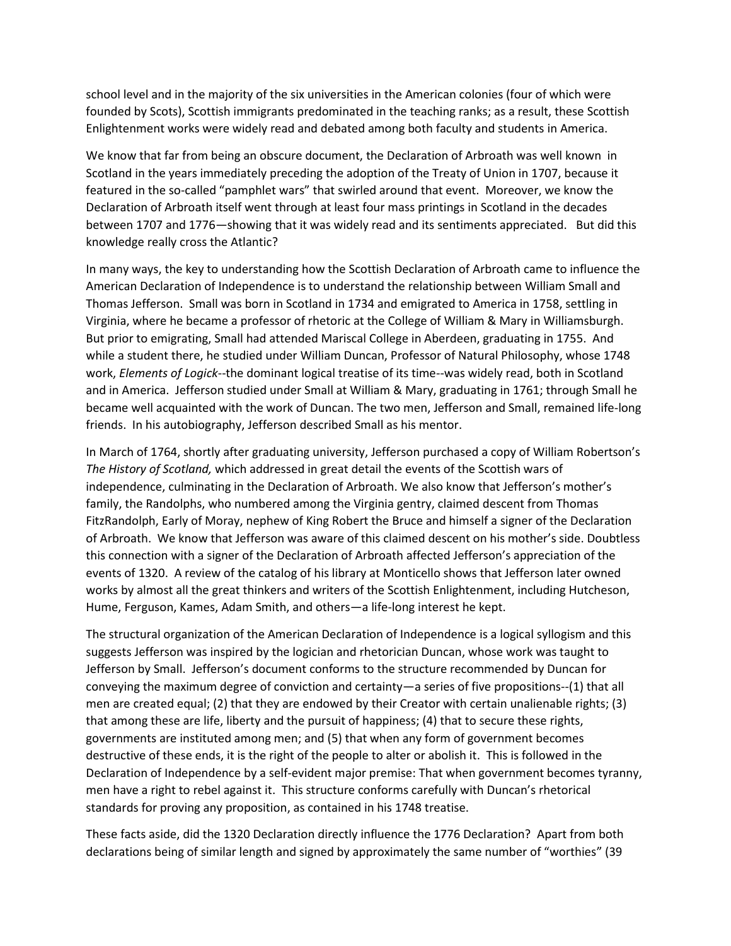school level and in the majority of the six universities in the American colonies (four of which were founded by Scots), Scottish immigrants predominated in the teaching ranks; as a result, these Scottish Enlightenment works were widely read and debated among both faculty and students in America.

We know that far from being an obscure document, the Declaration of Arbroath was well known in Scotland in the years immediately preceding the adoption of the Treaty of Union in 1707, because it featured in the so-called "pamphlet wars" that swirled around that event. Moreover, we know the Declaration of Arbroath itself went through at least four mass printings in Scotland in the decades between 1707 and 1776—showing that it was widely read and its sentiments appreciated. But did this knowledge really cross the Atlantic?

In many ways, the key to understanding how the Scottish Declaration of Arbroath came to influence the American Declaration of Independence is to understand the relationship between William Small and Thomas Jefferson. Small was born in Scotland in 1734 and emigrated to America in 1758, settling in Virginia, where he became a professor of rhetoric at the College of William & Mary in Williamsburgh. But prior to emigrating, Small had attended Mariscal College in Aberdeen, graduating in 1755. And while a student there, he studied under William Duncan, Professor of Natural Philosophy, whose 1748 work, *Elements of Logick*--the dominant logical treatise of its time--was widely read, both in Scotland and in America. Jefferson studied under Small at William & Mary, graduating in 1761; through Small he became well acquainted with the work of Duncan. The two men, Jefferson and Small, remained life-long friends. In his autobiography, Jefferson described Small as his mentor.

In March of 1764, shortly after graduating university, Jefferson purchased a copy of William Robertson's *The History of Scotland,* which addressed in great detail the events of the Scottish wars of independence, culminating in the Declaration of Arbroath. We also know that Jefferson's mother's family, the Randolphs, who numbered among the Virginia gentry, claimed descent from Thomas FitzRandolph, Early of Moray, nephew of King Robert the Bruce and himself a signer of the Declaration of Arbroath. We know that Jefferson was aware of this claimed descent on his mother's side. Doubtless this connection with a signer of the Declaration of Arbroath affected Jefferson's appreciation of the events of 1320. A review of the catalog of his library at Monticello shows that Jefferson later owned works by almost all the great thinkers and writers of the Scottish Enlightenment, including Hutcheson, Hume, Ferguson, Kames, Adam Smith, and others—a life-long interest he kept.

The structural organization of the American Declaration of Independence is a logical syllogism and this suggests Jefferson was inspired by the logician and rhetorician Duncan, whose work was taught to Jefferson by Small. Jefferson's document conforms to the structure recommended by Duncan for conveying the maximum degree of conviction and certainty—a series of five propositions--(1) that all men are created equal; (2) that they are endowed by their Creator with certain unalienable rights; (3) that among these are life, liberty and the pursuit of happiness; (4) that to secure these rights, governments are instituted among men; and (5) that when any form of government becomes destructive of these ends, it is the right of the people to alter or abolish it. This is followed in the Declaration of Independence by a self-evident major premise: That when government becomes tyranny, men have a right to rebel against it. This structure conforms carefully with Duncan's rhetorical standards for proving any proposition, as contained in his 1748 treatise.

These facts aside, did the 1320 Declaration directly influence the 1776 Declaration? Apart from both declarations being of similar length and signed by approximately the same number of "worthies" (39